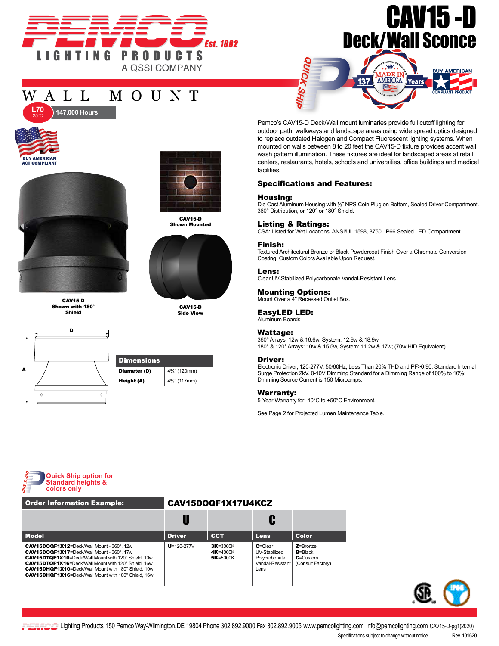

# CAV15 -D Deck/Wall Sconce

**Tears** 

AMERICA

**BUY AMERICAN** 

# WALL MOUNT



25°C



**147,000 Hours** 

CAV15-D Shown with 180° Shield





CAV15-D Shown Mounted



CAV15-D Side View



Pemco's CAV15-D Deck/Wall mount luminaries provide full cutoff lighting for outdoor path, walkways and landscape areas using wide spread optics designed to replace outdated Halogen and Compact Fluorescent lighting systems. When mounted on walls between 8 to 20 feet the CAV15-D fixture provides accent wall wash pattern illumination. These fixtures are ideal for landscaped areas at retail centers, restaurants, hotels, schools and universities, office buildings and medical facilities.

137

### Specifications and Features:

**SHIP** 

#### Housing:

Die Cast Aluminum Housing with 1/2" NPS Coin Plug on Bottom, Sealed Driver Compartment. 360° Distribution, or 120° or 180° Shield.

# Listing & Ratings:

CSA: Listed for Wet Locations, ANSI/UL 1598, 8750; IP66 Sealed LED Compartment.

#### Finish:

Textured Architectural Bronze or Black Powdercoat Finish Over a Chromate Conversion Coating. Custom Colors Available Upon Request.

#### Lens: Clear UV-Stabilized Polycarbonate Vandal-Resistant Lens

**Mounting Options:**<br>Mount Over a 4" Recessed Outlet Box.

#### EasyLED LED:

Aluminum Boards

#### Wattage:

360° Arrays: 12w & 16.6w, System: 12.9w & 18.9w 180° & 120° Arrays: 10w & 15.5w, System: 11.2w & 17w; (70w HID Equivalent)

#### Driver:

Electronic Driver, 120-277V, 50/60Hz; Less Than 20% THD and PF>0.90. Standard Internal Surge Protection 2kV. 0-10V Dimming Standard for a Dimming Range of 100% to 10%; Dimming Source Current is 150 Microamps.

#### Warranty:

5-Year Warranty for -40°C to +50°C Environment.

See Page 2 for Projected Lumen Maintenance Table.



## Order Information Example: CAV15DOQF1X17U4KCZ

| <b>Model</b>                                                                                                                                                                                                                                                                                                                                       | <b>Driver</b>    | <b>CCT</b>                               | <b>Lens</b>                                                                | <b>Color</b>                                                     |
|----------------------------------------------------------------------------------------------------------------------------------------------------------------------------------------------------------------------------------------------------------------------------------------------------------------------------------------------------|------------------|------------------------------------------|----------------------------------------------------------------------------|------------------------------------------------------------------|
| CAV15DOQF1X12=Deck/Wall Mount - 360°, 12w<br><b>CAV15DOQF1X17</b> =Deck/Wall Mount - 360°, 17w<br>CAV15DTQF1X10=Deck/Wall Mount with 120° Shield, 10w<br><b>CAV15DTQF1X16</b> =Deck/Wall Mount with 120° Shield, 16w<br><b>CAV15DHQF1X10</b> =Deck/Wall Mount with 180° Shield, 10w<br><b>CAV15DHQF1X16</b> =Deck/Wall Mount with 180° Shield, 16w | $U = 120 - 277V$ | $3K = 3000K$<br>4K=4000K<br>$5K = 5000K$ | $C = C$ lear<br>UV-Stabilized<br>Polycarbonate<br>Vandal-Resistant<br>Lens | $Z =$ Bronze<br>$B = Black$<br>$C =$ Custom<br>(Consult Factory) |